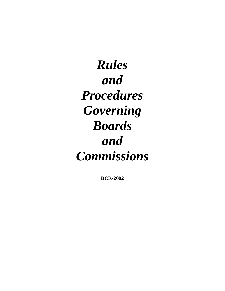*Rules and Procedures Governing Boards and Commissions*

**BCR-2002**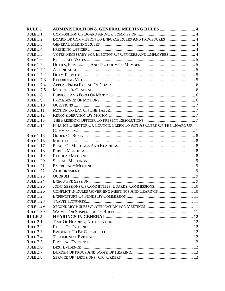| <b>RULE 1</b>       | <b>ADMINISTRATION &amp; GENERAL MEETING RULES  4</b>              |  |
|---------------------|-------------------------------------------------------------------|--|
| RULE <sub>1.1</sub> |                                                                   |  |
| RULE 1.2            | BOARD OR COMMISSION TO ENFORCE RULES AND PROCEDURES 4             |  |
| RULE 1.3            |                                                                   |  |
| RULE <sub>1.4</sub> |                                                                   |  |
| RULE 1.5            | VOTES NECESSARY FOR ELECTION OF OFFICERS AND EMPLOYEES 4          |  |
| RULE <sub>1.6</sub> |                                                                   |  |
| RULE <sub>1.7</sub> |                                                                   |  |
| <b>RULE 1.7.1</b>   |                                                                   |  |
| <b>RULE 1.7.2</b>   |                                                                   |  |
| <b>RULE 1.7.3</b>   |                                                                   |  |
| <b>RULE 1.7.4</b>   |                                                                   |  |
| <b>RULE 1.7.5</b>   |                                                                   |  |
| RULE <sub>1.8</sub> |                                                                   |  |
| RULE <sub>1.9</sub> |                                                                   |  |
| <b>RULE 1.10</b>    |                                                                   |  |
| <b>RULE 1.11</b>    |                                                                   |  |
| <b>RULE 1.12</b>    |                                                                   |  |
| <b>RULE 1.13</b>    |                                                                   |  |
| <b>RULE 1.14</b>    | FINANCE DIRECTOR OR COUNCIL CLERK TO ACT AS CLERK OF THE BOARD OR |  |
|                     |                                                                   |  |
| <b>RULE 1.15</b>    |                                                                   |  |
| <b>RULE 1.16</b>    |                                                                   |  |
| <b>RULE 1.17</b>    |                                                                   |  |
| <b>RULE 1.18</b>    |                                                                   |  |
| <b>RULE 1.19</b>    |                                                                   |  |
| <b>RULE 1.20</b>    |                                                                   |  |
| <b>RULE 1.21</b>    |                                                                   |  |
| <b>RULE 1.22</b>    |                                                                   |  |
| <b>RULE 1.23</b>    |                                                                   |  |
| <b>RULE 1.24</b>    |                                                                   |  |
| <b>RULE 1.25</b>    |                                                                   |  |
| <b>RULE 1.26</b>    | CONFLICT IN RULES GOVERNING MEETINGS AND HEARINGS  10             |  |
| <b>RULE 1.27</b>    |                                                                   |  |
| <b>RULE 1.28</b>    |                                                                   |  |
| <b>RULE 1.29</b>    |                                                                   |  |
| <b>RULE 1.30</b>    |                                                                   |  |
| <b>RULE 2</b>       |                                                                   |  |
| RULE <sub>2.1</sub> |                                                                   |  |
| <b>RULE 2.2</b>     |                                                                   |  |
| RULE 2.3            |                                                                   |  |
| RULE <sub>2.4</sub> |                                                                   |  |
| RULE 2.5            |                                                                   |  |
| <b>RULE 2.6</b>     |                                                                   |  |
| RULE <sub>2.7</sub> |                                                                   |  |
| RULE <sub>2.8</sub> |                                                                   |  |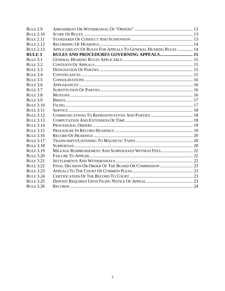| RULE <sub>2.9</sub> |                                                                 |  |
|---------------------|-----------------------------------------------------------------|--|
| <b>RULE 2.10</b>    |                                                                 |  |
| <b>RULE 2.11</b>    |                                                                 |  |
| <b>RULE 2.12</b>    |                                                                 |  |
| <b>RULE 2.13</b>    | APPLICABILITY OF RULES FOR APPEALS TO GENERAL HEARING RULES  14 |  |
| <b>RULE 3</b>       | <b>RULES AND PROCEDURES GOVERNING APPEALS 15</b>                |  |
| RUTE 3.1            |                                                                 |  |
| RULE 3.2            |                                                                 |  |
| RULE 3.3            |                                                                 |  |
| RULE 3.4            |                                                                 |  |
| RULE 3.5            |                                                                 |  |
| RUTE 3.6            |                                                                 |  |
| RULE 3.7            |                                                                 |  |
| RULE 3.8            |                                                                 |  |
| RULE 3.9            |                                                                 |  |
| <b>RULE 3.10</b>    |                                                                 |  |
| <b>RULE 3.11</b>    |                                                                 |  |
| <b>RULE 3.12</b>    |                                                                 |  |
| <b>RULE 3.13</b>    |                                                                 |  |
| <b>RULE 3.14</b>    |                                                                 |  |
| <b>RULE 3.15</b>    |                                                                 |  |
| <b>RULE 3.16</b>    |                                                                 |  |
| <b>RULE 3.17</b>    |                                                                 |  |
| <b>RULE 3.18</b>    |                                                                 |  |
| <b>RULE 3.19</b>    |                                                                 |  |
| <b>RULE 3.20</b>    |                                                                 |  |
| <b>RULE 3.21</b>    |                                                                 |  |
| <b>RULE 3.22</b>    |                                                                 |  |
| <b>RULE 3.23</b>    |                                                                 |  |
| <b>RULE 3.24</b>    |                                                                 |  |
| <b>RULE 3.25</b>    |                                                                 |  |
| <b>RULE 3.26</b>    |                                                                 |  |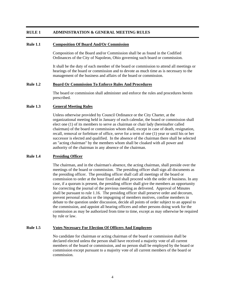# <span id="page-3-0"></span>**RULE 1 ADMINISTRATION & GENERAL MEETING RULES**

#### **Rule 1.1 Composition Of Board And/Or Commission**

Composition of the Board and/or Commission shall be as found in the Codified Ordinances of the City of Napoleon, Ohio governing such board or commission.

It shall be the duty of each member of the board or commission to attend all meetings or hearings of the board or commission and to devote as much time as is necessary to the management of the business and affairs of the board or commission.

#### **Rule 1.2 Board Or Commission To Enforce Rules And Procedures**

The board or commission shall administer and enforce the rules and procedures herein prescribed.

#### **Rule 1.3 General Meeting Rules**

Unless otherwise provided by Council Ordinance or the City Charter, at the organizational meeting held in January of each calendar, the board or commission shall elect one (1) of its members to serve as chairman or chair lady (hereinafter called chairman) of the board or commission whom shall, except in case of death, resignation, recall, removal or forfeiture of office, serve for a term of one (1) year or until his or her successor is elected and qualified. In the absence of the chairman there shall be selected an "acting chairman" by the members whom shall be cloaked with all power and authority of the chairman in any absence of the chairman.

#### **Rule 1.4 Presiding Officer**

The chairman, and in the chairman's absence, the acting chairman, shall preside over the meetings of the board or commission. The presiding officer shall sign all documents as the presiding officer. The presiding officer shall call all meetings of the board or commission to order at the hour fixed and shall proceed with the order of business. In any case, if a quorum is present, the presiding officer shall give the members an opportunity for correcting the journal of the previous meeting as delivered. Approval of Minutes shall be pursuant to rule 1.16. The presiding officer shall preserve order and decorum, prevent personal attacks or the impugning of members motives, confine members in debate to the question under discussion, decide all points of order subject to an appeal to the commission, and appoint all hearing officers and other persons doing work for the commission as may be authorized from time to time, except as may otherwise be required by rule or law.

#### **Rule 1.5 Votes Necessary For Election Of Officers And Employees**

No candidate for chairman or acting chairman of the board or commission shall be declared elected unless the person shall have received a majority vote of all current members of the board or commission, and no person shall be employed by the board or commission except pursuant to a majority vote of all current members of the board or commission.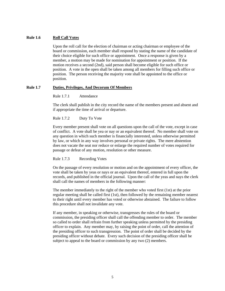# <span id="page-4-0"></span>**Rule 1.6 Roll Call Votes**

Upon the roll call for the election of chairman or acting chairman or employee of the board or commission, each member shall respond by stating the name of the candidate of their choice eligible for such office or appointment. Once a response is given by a member, a motion may be made for nomination for appointment or position. If the motion receives a second (2nd), said person shall become eligible for such office or position. A vote in the open shall be taken among all members for filling such office or position. The person receiving the majority vote shall be appointed to the office or position.

## **Rule 1.7 Duties, Privileges, And Decorum Of Members**

Rule 1.7.1 Attendance

The clerk shall publish in the city record the name of the members present and absent and if appropriate the time of arrival or departure.

Rule 1.7.2 Duty To Vote

Every member present shall vote on all questions upon the call of the vote, except in case of conflict. A vote shall be yea or nay or an equivalent thereof. No member shall vote on any question in which such member is financially interested, unless otherwise permitted by law, or which in any way involves personal or private rights. The mere abstention does not vacate the seat nor reduce or enlarge the required number of votes required for passage or defeat of any motion, resolution or other measure.

# Rule 1.7.3 Recording Votes

On the passage of every resolution or motion and on the appointment of every officer, the vote shall be taken by yeas or nays or an equivalent thereof, entered in full upon the records, and published in the official journal. Upon the call of the yeas and nays the clerk shall call the names of members in the following manner:

The member immediately to the right of the member who voted first (1st) at the prior regular meeting shall be called first (1st), then followed by the remaining member nearest to their right until every member has voted or otherwise abstained. The failure to follow this procedure shall not invalidate any vote.

If any member, in speaking or otherwise, transgresses the rules of the board or commission, the presiding officer shall call the offending member to order. The member so called to order shall refrain from further speaking unless permitted by the presiding officer to explain. Any member may, by raising the point of order, call the attention of the presiding officer to such transgression. The point of order shall be decided by the presiding officer without debate. Every such decision of the presiding officer shall be subject to appeal to the board or commission by any two (2) members.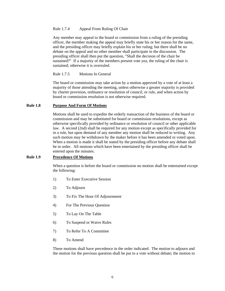## <span id="page-5-0"></span>Rule 1.7.4 Appeal From Ruling Of Chair

Any member may appeal to the board or commission from a ruling of the presiding officer, the member making the appeal may briefly state his or her reason for the same, and the presiding officer may briefly explain his or her ruling; but there shall be no debate on the appeal and no other member shall participate in the discussion. The presiding officer shall then put the question, "Shall the decision of the chair be sustained?" If a majority of the members present vote yea, the ruling of the chair is sustained; otherwise it is overruled.

## Rule 1.7.5 Motions In General

The board or commission may take action by a motion approved by a vote of at least a majority of those attending the meeting, unless otherwise a greater majority is provided by charter provision, ordinance or resolution of council, or rule, and when action by board or commission resolution is not otherwise required.

## **Rule 1.8 Purpose And Form Of Motions**

Motions shall be used to expedite the orderly transaction of the business of the board or commission and may be substituted for board or commission resolutions, except as otherwise specifically provided by ordinance or resolution of council or other applicable law. A second (2nd) shall be required for any motion except as specifically provided for in a rule, but upon demand of any member any motion shall be reduced to writing. Any such motion may be withdrawn by the maker before it has been amended or voted upon. When a motion is made it shall be stated by the presiding officer before any debate shall be in order. All motions which have been entertained by the presiding officer shall be entered upon the minutes.

# **Rule 1.9 Precedence Of Motions**

When a question is before the board or commission no motion shall be entertained except the following:

- 1) To Enter Executive Session
- 2) To Adjourn
- 3) To Fix The Hour Of Adjournment
- 4) For The Previous Question
- 5) To Lay On The Table
- 6) To Suspend or Waive Rules
- 7) To Refer To A Committee
- 8) To Amend

These motions shall have precedence in the order indicated. The motion to adjourn and the motion for the previous question shall be put to a vote without debate; the motion to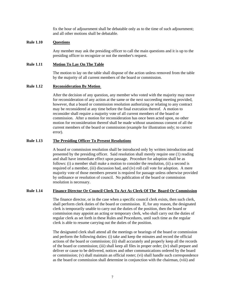fix the hour of adjournment shall be debatable only as to the time of such adjournment; and all other motions shall be debatable.

# <span id="page-6-0"></span>**Rule 1.10 Questions**

Any member may ask the presiding officer to call the main questions and it is up to the presiding officer to recognize or not the member's request.

## **Rule 1.11 Motion To Lay On The Table**

The motion to lay on the table shall dispose of the action unless removed from the table by the majority of all current members of the board or commission.

#### **Rule 1.12 Reconsideration By Motion**

After the decision of any question, any member who voted with the majority may move for reconsideration of any action at the same or the next succeeding meeting provided, however, that a board or commission resolution authorizing or relating to any contract may be reconsidered at any time before the final execution thereof. A motion to reconsider shall require a majority vote of all current members of the board or commission. After a motion for reconsideration has once been acted upon, no other motion for reconsideration thereof shall be made without unanimous consent of all the current members of the board or commission (example for illustration only; to correct error).

## **Rule 1.13 The Presiding Officer To Present Resolutions**

A board or commission resolution shall be introduced only by written introduction and presented by the presiding officer. Said resolution shall merely require one (1) reading and shall have immediate effect upon passage. Procedure for adoption shall be as follows: (i) a member shall make a motion to consider the resolution, (ii) a second is required of a member, (iii) discussion had, and (iv) roll call vote for adoption. A mere majority vote of those members present is required for passage unless otherwise provided by ordinance or resolution of council. No publication of the board or commission resolution is necessary.

# **Rule 1.14 Finance Director Or Council Clerk To Act As Clerk Of The Board Or Commission**

The finance director, or in the case when a specific council clerk exists, then such clerk, shall perform clerk duties of the board or commission. If, for any reason, the designated clerk is temporarily unable to carry out the duties of the position, then the board or commission may appoint an acting or temporary clerk, who shall carry out the duties of regular clerk as set forth in these Rules and Procedures, until such time as the regular clerk is able to resume carrying out the duties of the position.

The designated clerk shall attend all the meetings or hearings of the board or commission and perform the following duties: (i) take and keep the minutes and record the official actions of the board or commission; (ii) shall accurately and properly keep all the records of the board or commission; (iii) shall keep all files in proper order; (iv) shall prepare and deliver or cause to be delivered, notices and other communications ordered by the board or commission; (v) shall maintain an official roster; (vi) shall handle such correspondence as the board or commission shall determine in conjunction with the chairman, (viii) and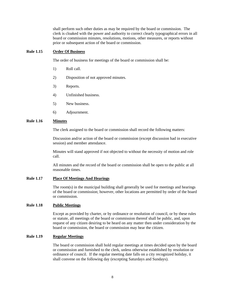shall perform such other duties as may be required by the board or commission. The clerk is cloaked with the power and authority to correct clearly typographical errors in all board or commission minutes, resolutions, motions, other measures, or reports without prior or subsequent action of the board or commission.

#### <span id="page-7-0"></span>**Rule 1.15 Order Of Business**

The order of business for meetings of the board or commission shall be:

- 1) Roll call.
- 2) Disposition of not approved minutes.
- 3) Reports.
- 4) Unfinished business.
- 5) New business.
- 6) Adjournment.

# **Rule 1.16 Minutes**

The clerk assigned to the board or commission shall record the following matters:

Discussion and/or action of the board or commission (except discussion had in executive session) and member attendance.

Minutes will stand approved if not objected to without the necessity of motion and role call.

All minutes and the record of the board or commission shall be open to the public at all reasonable times.

# **Rule 1.17 Place Of Meetings And Hearings**

The room(s) in the municipal building shall generally be used for meetings and hearings of the board or commission; however, other locations are permitted by order of the board or commission.

#### **Rule 1.18 Public Meetings**

Except as provided by charter, or by ordinance or resolution of council, or by these rules or statute, all meetings of the board or commission thereof shall be public, and, upon request of any citizen desiring to be heard on any matter then under consideration by the board or commission, the board or commission may hear the citizen.

# **Rule 1.19 Regular Meetings**

The board or commission shall hold regular meetings at times decided upon by the board or commission and furnished to the clerk, unless otherwise established by resolution or ordinance of council. If the regular meeting date falls on a city recognized holiday, it shall convene on the following day (excepting Saturdays and Sundays).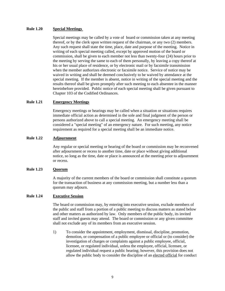#### <span id="page-8-0"></span>**Rule 1.20 Special Meetings**

Special meetings may be called by a vote of board or commission taken at any meeting thereof, or by the clerk upon written request of the chairman, or any two (2) members. Any such request shall state the time, place, date and purpose of the meeting. Notice in writing of each special meeting called, except by approved motion of the board or commission, shall be given to each member not less than twenty-four (24) hours prior to the meeting by serving the same to each of them personally, by leaving a copy thereof at his or her usual place of residence, or by electronic mail or by facsimile transmission when the member authorizes electronic or facsimile notice. Service of notice may be waived in writing and shall be deemed conclusively to be waived by attendance at the special meeting. If the member is absent, notice in writing of the special meeting and the results thereof shall be given promptly after such meeting to each absentee in the manner hereinbefore provided. Public notice of each special meeting shall be given pursuant to Chapter 103 of the Codified Ordinances.

# **Rule 1.21 Emergency Meetings**

Emergency meetings or hearings may be called when a situation or situations requires immediate official action as determined in the sole and final judgment of the person or persons authorized above to call a special meeting. An emergency meeting shall be considered a "special meeting" of an emergency nature. For such meeting, any notice requirement as required for a special meeting shall be an immediate notice.

## **Rule 1.22 Adjournment**

Any regular or special meeting or hearing of the board or commission may be reconvened after adjournment or recess to another time, date or place without giving additional notice, so long as the time, date or place is announced at the meeting prior to adjournment or recess.

#### **Rule 1.23 Quorum**

A majority of the current members of the board or commission shall constitute a quorum for the transaction of business at any commission meeting, but a number less than a quorum may adjourn.

# **Rule 1.24 Executive Session**

The board or commission may, by entering into executive session, exclude members of the public and staff from a portion of a public meeting to discuss matters as stated below and other matters as authorized by law. Only members of the public body, its invited staff and invited guests may attend. The board or commission or any given committee shall not exclude any of its members from an executive session.

1) To consider the appointment, employment, dismissal, discipline, promotion, demotion, or compensation of a public employee or official or (to consider) the investigation of charges or complaints against a public employee, official, licensee, or regulated individual, unless the employee, official, licensee, or regulated individual request a public hearing; however, this provision does not allow the public body to consider the discipline of an elected official for conduct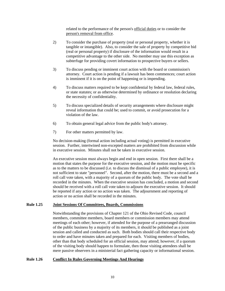related to the performance of the person's official duties or to consider the person's removal from office.

- <span id="page-9-0"></span>2) To consider the purchase of property (real or personal property, whether it is tangible or intangible). Also, to consider the sale of property by competitive bid (real or personal property) if disclosure of the information would result in a competitive advantage to the other side. No member may use this exception as subterfuge for providing covert information to prospective buyers or sellers.
- 3) To discuss pending or imminent court action with the board or commission's attorney. Court action is pending if a lawsuit has been commences; court action is imminent if it is on the point of happening or is impending.
- 4) To discuss matters required to be kept confidential by federal law, federal rules, or state statutes; or as otherwise determined by ordinance or resolution declaring the necessity of confidentiality.
- 5) To discuss specialized details of security arrangements where disclosure might reveal information that could be; used to commit, or avoid prosecution for a violation of the law.
- 6) To obtain general legal advice from the public body's attorney.
- 7) For other matters permitted by law.

No decision-making (formal action including actual voting) is permitted in executive session. Further, intertwined non-excepted matters are prohibited from discussion while in executive session. Minutes shall not be taken in executive session.

An executive session must always begin and end in open session. First there shall be a motion that states the purpose for the executive session, and the motion must be specific as to the matters to be discussed (i.e. to discuss the dismissal of a public employee), it is not sufficient to state "personnel". Second, after the motion, there must be a second and a roll call vote taken, with a majority of a quorum of the public body. The vote shall be recorded in the minutes. When the executive session has concluded, a motion and second should be received with a roll call vote taken to adjourn the executive session. It should be reported if any action or no action was taken. The adjournment and reporting of action or no action shall be recorded in the minutes.

#### **Rule 1.25 Joint Sessions Of Committees, Boards, Commissions**

Notwithstanding the provisions of Chapter 121 of the Ohio Revised Code, council members, committee members, board members or commission members may attend meetings of each other; however, if attended for the purpose of a prearranged discussion of the public business by a majority of its members, it should be published as a joint session and called and conducted as such. Both bodies should call their respective body to order and have minutes taken and prepared for each. Visiting members of bodies, other than that body scheduled for an official session, may attend; however, if a quorum of the visiting body should happen to formulate, then those visiting attendees shall be mere passive observers in a ministerial fact gathering capacity or informational session.

# **Rule 1.26 Conflict In Rules Governing Meetings And Hearings**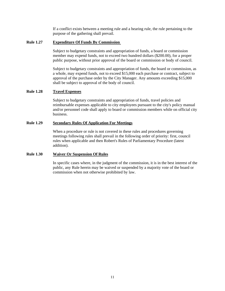If a conflict exists between a meeting rule and a hearing rule, the rule pertaining to the purpose of the gathering shall prevail.

## <span id="page-10-0"></span>**Rule 1.27 Expenditure Of Funds By Commission**

Subject to budgetary constraints and appropriation of funds, a board or commission member may expend funds, not to exceed two hundred dollars (\$200.00), for a proper public purpose, without prior approval of the board or commission or body of council.

Subject to budgetary constraints and appropriation of funds, the board or commission, as a whole, may expend funds, not to exceed \$15,000 each purchase or contract, subject to approval of the purchase order by the City Manager. Any amounts exceeding \$15,000 shall be subject to approval of the body of council.

# **Rule 1.28 Travel Expenses**

Subject to budgetary constraints and appropriation of funds, travel policies and reimbursable expenses applicable to city employees pursuant to the city's policy manual and/or personnel code shall apply to board or commission members while on official city business.

#### **Rule 1.29 Secondary Rules Of Application For Meetings**

When a procedure or rule is not covered in these rules and procedures governing meetings following rules shall prevail in the following order of priority: first, council rules when applicable and then Robert's Rules of Parliamentary Procedure (latest addition).

## **Rule 1.30 Waiver Or Suspension Of Rules**

In specific cases where, in the judgment of the commission, it is in the best interest of the public, any Rule herein may be waived or suspended by a majority vote of the board or commission when not otherwise prohibited by law.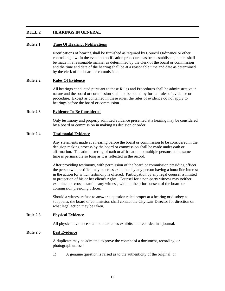# <span id="page-11-0"></span>**RULE 2 HEARINGS IN GENERAL**

# **Rule 2.1 Time Of Hearing; Notifications**

Notifications of hearing shall be furnished as required by Council Ordinance or other controlling law. In the event no notification procedure has been established, notice shall be made in a reasonable manner as determined by the clerk of the board or commission and the time and date of the hearing shall be at a reasonable time and date as determined by the clerk of the board or commission.

## **Rule 2.2 Rules Of Evidence**

All hearings conducted pursuant to these Rules and Procedures shall be administrative in nature and the board or commission shall not be bound by formal rules of evidence or procedure. Except as contained in these rules, the rules of evidence do not apply to hearings before the board or commission.

## **Rule 2.3 Evidence To Be Considered**

Only testimony and properly admitted evidence presented at a hearing may be considered by a board or commission in making its decision or order.

## **Rule 2.4 Testimonial Evidence**

Any statements made at a hearing before the board or commission to be considered in the decision making process by the board or commission shall be made under oath or affirmation. The administering of oath or affirmation to multiple persons at the same time is permissible so long as it is reflected in the record.

After providing testimony, with permission of the board or commission presiding officer, the person who testified may be cross examined by any person having a bona fide interest in the action for which testimony is offered. Participation by any legal counsel is limited to protection of his or her client's rights. Counsel for a non-party witness may neither examine nor cross-examine any witness, without the prior consent of the board or commission presiding officer.

Should a witness refuse to answer a question ruled proper at a hearing or disobey a subpoena, the board or commission shall contact the City Law Director for direction on what legal action may be taken.

# **Rule 2.5 Physical Evidence**

All physical evidence shall be marked as exhibits and recorded in a journal.

# **Rule 2.6 Best Evidence**

A duplicate may be admitted to prove the content of a document, recording, or photograph unless:

1) A genuine question is raised as to the authenticity of the original; or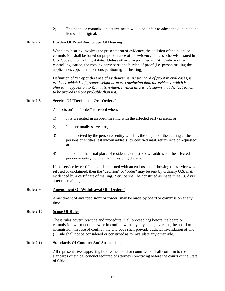2) The board or commission determines it would be unfair to admit the duplicate in lieu of the original.

# <span id="page-12-0"></span>**Rule 2.7 Burden Of Proof And Scope Of Hearing**

When any hearing involves the presentation of evidence, the decision of the board or commission shall be based on preponderance of the evidence, unless otherwise stated in City Code or controlling statute. Unless otherwise provided in City Code or other controlling statute, the moving party bares the burden of proof (i.e. person making the application; appellants, persons petitioning for hearing)

Definition of **"Preponderance of evidence"** is: *As standard of proof in civil cases, is evidence which is of greater weight or more convincing than the evidence which is offered in opposition to it; that is, evidence which as a whole shows that the fact sought to be proved is more probable than not.*

# **Rule 2.8 Service Of "Decisions" Or "Orders"**

A "decision" or "order" is served when:

- 1) It is presented in an open meeting with the affected party present; or,
- 2) It is personally served; or,
- 3) It is received by the person or entity which is the subject of the hearing at the persons or entities last known address, by certified mail, return receipt requested; or,
- 4) It is left at the usual place of residence, or last known address of the affected person or entity, with an adult residing therein.

If the service by certified mail is returned with an endorsement showing the service was refused or unclaimed, then the "decision" or "order" may be sent by ordinary U.S. mail, evidenced by a certificate of mailing. Service shall be construed as made three (3) days after the mailing date.

# **Rule 2.9 Amendment Or Withdrawal Of "Orders"**

Amendment of any "decision" or "order" may be made by board or commission at any time.

# **Rule 2.10 Scope Of Rules**

These rules govern practice and procedure in all proceedings before the board or commission when not otherwise in conflict with any city code governing the board or commission. In case of conflict, the city code shall prevail. Judicial invalidation of one (1) rule shall not be considered or construed as to invalidate any other rule.

# **Rule 2.11 Standards Of Conduct And Suspension**

All representatives appearing before the board or commission shall conform to the standards of ethical conduct required of attorneys practicing before the courts of the State of Ohio.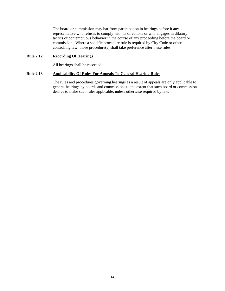<span id="page-13-0"></span>The board or commission may bar from participation in hearings before it any representative who refuses to comply with its directions or who engages in dilatory tactics or contemptuous behavior in the course of any proceeding before the board or commission. Where a specific procedure rule is required by City Code or other controlling law, those procedure(s) shall take preference after these rules.

# **Rule 2.12 Recording Of Hearings**

All hearings shall be recorded.

# **Rule 2.13 Applicability Of Rules For Appeals To General Hearing Rules**

The rules and procedures governing hearings as a result of appeals are only applicable to general hearings by boards and commissions to the extent that such board or commission desires to make such rules applicable, unless otherwise required by law.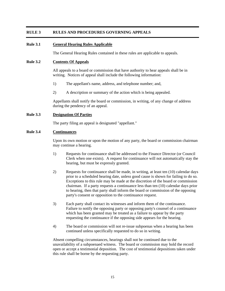# <span id="page-14-0"></span>**RULE 3 RULES AND PROCEDURES GOVERNING APPEALS**

# **Rule 3.1 General Hearing Rules Applicable**

The General Hearing Rules contained in these rules are applicable to appeals.

#### **Rule 3.2 Contents Of Appeals**

All appeals to a board or commission that have authority to hear appeals shall be in writing. Notices of appeal shall include the following information:

- 1) The appellant's name, address, and telephone number; and,
- 2) A description or summary of the action which is being appealed.

Appellants shall notify the board or commission, in writing, of any change of address during the pendency of an appeal.

#### **Rule 3.3 Designation Of Parties**

The party filing an appeal is designated "appellant."

# **Rule 3.4 Continuances**

Upon its own motion or upon the motion of any party, the board or commission chairman may continue a hearing.

- 1) Requests for continuance shall be addressed to the Finance Director (or Council Clerk when one exists). A request for continuance will not automatically stay the hearing, but must be expressly granted.
- 2) Requests for continuance shall be made, in writing, at least ten (10) calendar days prior to a scheduled hearing date, unless good cause is shown for failing to do so. Exceptions to this rule may be made at the discretion of the board or commission chairman. If a party requests a continuance less than ten (10) calendar days prior to hearing, then that party shall inform the board or commission of the opposing party's consent or opposition to the continuance request.
- 3) Each party shall contact its witnesses and inform them of the continuance. Failure to notify the opposing party or opposing party's counsel of a continuance which has been granted may be treated as a failure to appear by the party requesting the continuance if the opposing side appears for the hearing.
- 4) The board or commission will not re-issue subpoenas when a hearing has been continued unless specifically requested to do so in writing.

Absent compelling circumstances, hearings shall not be continued due to the unavailability of a subpoenaed witness. The board or commission may hold the record open or accept a testimonial deposition. The cost of testimonial depositions taken under this rule shall be borne by the requesting party.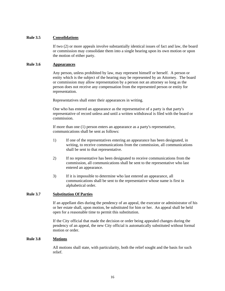# <span id="page-15-0"></span>**Rule 3.5 Consolidations**

If two (2) or more appeals involve substantially identical issues of fact and law, the board or commission may consolidate them into a single hearing upon its own motion or upon the motion of either party.

## **Rule 3.6 Appearances**

Any person, unless prohibited by law, may represent himself or herself. A person or entity which is the subject of the hearing may be represented by an Attorney. The board or commission may allow representation by a person not an attorney so long as the person does not receive any compensation from the represented person or entity for representation.

Representatives shall enter their appearances in writing.

One who has entered an appearance as the representative of a party is that party's representative of record unless and until a written withdrawal is filed with the board or commission.

If more than one (1) person enters an appearance as a party's representative, communications shall be sent as follows:

- 1) If one of the representatives entering an appearance has been designated, in writing, to receive communications from the commission, all communications shall be sent to that representative.
- 2) If no representative has been designated to receive communications from the commission, all communications shall be sent to the representative who last entered an appearance.
- 3) If it is impossible to determine who last entered an appearance, all communications shall be sent to the representative whose name is first in alphabetical order.

## **Rule 3.7 Substitution Of Parties**

If an appellant dies during the pendency of an appeal, the executor or administrator of his or her estate shall, upon motion, be substituted for him or her. An appeal shall be held open for a reasonable time to permit this substitution.

If the City official that made the decision or order being appealed changes during the pendency of an appeal, the new City official is automatically substituted without formal motion or order.

# **Rule 3.8 Motions**

All motions shall state, with particularity, both the relief sought and the basis for such relief.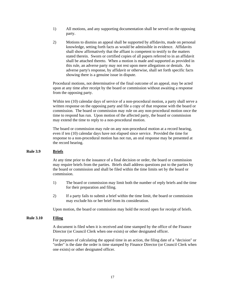- <span id="page-16-0"></span>1) All motions, and any supporting documentation shall be served on the opposing party.
- 2) Motions to dismiss an appeal shall be supported by affidavits, made on personal knowledge, setting forth facts as would be admissible in evidence. Affidavits shall show affirmatively that the affiant is competent to testify to the matters stated therein. Sworn or certified copies of all papers referred to in an affidavit shall be attached thereto. When a motion is made and supported as provided in this rule, an adverse party may not rest upon mere allegations or denials. An adverse party's response, by affidavit or otherwise, shall set forth specific facts showing there is a genuine issue in dispute.

Procedural motions, not determinative of the final outcome of an appeal, may be acted upon at any time after receipt by the board or commission without awaiting a response from the opposing party.

Within ten (10) calendar days of service of a non-procedural motion, a party shall serve a written response on the opposing party and file a copy of that response with the board or commission. The board or commission may rule on any non-procedural motion once the time to respond has run. Upon motion of the affected party, the board or commission may extend the time to reply to a non-procedural motion.

The board or commission may rule on any non-procedural motion at a record hearing, even if ten (10) calendar days have not elapsed since service. Provided the time for response to a non-procedural motion has not run, an oral response may be presented at the record hearing.

# **Rule 3.9 Briefs**

At any time prior to the issuance of a final decision or order, the board or commission may require briefs from the parties. Briefs shall address questions put to the parties by the board or commission and shall be filed within the time limits set by the board or commission.

- 1) The board or commission may limit both the number of reply briefs and the time for their preparation and filing.
- 2) If a party fails to submit a brief within the time limit, the board or commission may exclude his or her brief from its consideration.

Upon motion, the board or commission may hold the record open for receipt of briefs.

# **Rule 3.10 Filing**

A document is filed when it is received and time stamped by the office of the Finance Director (or Council Clerk when one exists) or other designated officer.

For purposes of calculating the appeal time in an action, the filing date of a "decision" or "order" is the date the order is time stamped by Finance Director (or Council Clerk when one exists) or other designated officer.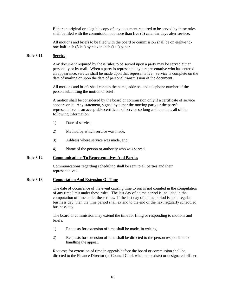<span id="page-17-0"></span>Either an original or a legible copy of any document required to be served by these rules shall be filed with the commission not more than five (5) calendar days after service.

All motions and briefs to be filed with the board or commission shall be on eight-andone-half inch  $(8 \frac{1}{2})$  by eleven inch  $(11)$  paper.

#### **Rule 3.11 Service**

Any document required by these rules to be served upon a party may be served either personally or by mail. When a party is represented by a representative who has entered an appearance, service shall be made upon that representative. Service is complete on the date of mailing or upon the date of personal transmission of the document.

All motions and briefs shall contain the name, address, and telephone number of the person submitting the motion or brief.

A motion shall be considered by the board or commission only if a certificate of service appears on it. Any statement, signed by either the moving party or the party's representative, is an acceptable certificate of service so long as it contains all of the following information:

- 1) Date of service,
- 2) Method by which service was made,
- 3) Address where service was made, and
- 4) Name of the person or authority who was served.

## **Rule 3.12 Communications To Representatives And Parties**

Communications regarding scheduling shall be sent to all parties and their representatives.

## **Rule 3.13 Computation And Extension Of Time**

The date of occurrence of the event causing time to run is not counted in the computation of any time limit under these rules. The last day of a time period is included in the computation of time under these rules. If the last day of a time period is not a regular business day, then the time period shall extend to the end of the next regularly scheduled business day.

The board or commission may extend the time for filing or responding to motions and briefs.

- 1) Requests for extension of time shall be made, in writing.
- 2) Requests for extension of time shall be directed to the person responsible for handling the appeal.

Requests for extension of time in appeals before the board or commission shall be directed to the Finance Director (or Council Clerk when one exists) or designated officer.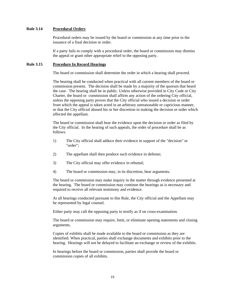## <span id="page-18-0"></span>**Rule 3.14 Procedural Orders**

Procedural orders may be issued by the board or commission at any time prior to the issuance of a final decision or order.

If a party fails to comply with a procedural order, the board or commission may dismiss the appeal or grant other appropriate relief to the opposing party.

## **Rule 3.15 Procedure In Record Hearings**

The board or commission shall determine the order in which a hearing shall proceed.

The hearing shall be conducted when practical with all current members of the board or commission present. The decision shall be made by a majority of the quorum that heard the case. The hearing shall be in public. Unless otherwise provided in City Code or City Charter, the board or commission shall affirm any action of the ordering City official, unless the opposing party proves that the City official who issued a decision or order from which the appeal is taken acted in an arbitrary unreasonable or capricious manner, or that the City official abused his or her discretion in making the decision or order which affected the appellant.

The board or commission shall hear the evidence upon the decision or order as filed by the City official. In the hearing of such appeals, the order of procedure shall be as follows:

- 1) The City official shall adduce their evidence in support of the "decision" or "order";
- 2) The appellant shall then produce such evidence in defense;
- 3) The City official may offer evidence in rebuttal;
- 4) The board or commission may, in its discretion, hear arguments.

The board or commission may make inquiry in the matter through evidence presented at the hearing. The board or commission may continue the hearings as is necessary and required to receive all relevant testimony and evidence.

At all hearings conducted pursuant to this Rule, the City official and the Appellant may be represented by legal counsel.

Either party may call the opposing party to testify as if on cross-examination.

The board or commission may require, limit, or eliminate opening statements and closing arguments.

Copies of exhibits shall be made available to the board or commission as they are identified. When practical, parties shall exchange documents and exhibits prior to the hearing. Hearings will not be delayed to facilitate an exchange or review of the exhibits.

In hearings before the board or commission, parties shall provide the board or commission copies of all exhibits.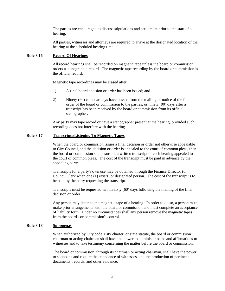<span id="page-19-0"></span>The parties are encouraged to discuss stipulations and settlement prior to the start of a hearing.

All parties, witnesses and attorneys are required to arrive at the designated location of the hearing at the scheduled hearing time.

## **Rule 3.16 Record Of Hearings**

All record hearings shall be recorded on magnetic tape unless the board or commission orders a stenographic record. The magnetic tape recording by the board or commission is the official record.

Magnetic tape recordings may be erased after:

- 1) A final board decision or order has been issued; and
- 2) Ninety (90) calendar days have passed from the mailing of notice of the final order of the board or commission to the parties; or ninety (90) days after a transcript has been received by the board or commission from its official stenographer.

Any party may tape record or have a stenographer present at the hearing, provided such recording does not interfere with the hearing.

## **Rule 3.17 Transcripts/Listening To Magnetic Tapes**

When the board or commission issues a final decision or order not otherwise appealable to City Council, and the decision or order is appealed to the court of common pleas, then the board or commission shall transmit a written transcript of each hearing appealed to the court of common pleas. The cost of the transcript must be paid in advance by the appealing party.

Transcripts for a party's own use may be obtained through the Finance Director (or Council Clerk when one (1) exists) or designated person. The cost of the transcript is to be paid by the party requesting the transcript.

Transcripts must be requested within sixty (60) days following the mailing of the final decision or order.

Any person may listen to the magnetic tape of a hearing. In order to do so, a person must make prior arrangements with the board or commission and must complete an acceptance of liability form. Under no circumstances shall any person remove the magnetic tapes from the board's or commission's control.

#### **Rule 3.18 Subpoenas**

When authorized by City code, City charter, or state statute, the board or commission chairman or acting chairman shall have the power to administer oaths and affirmations to witnesses and to take testimony concerning the matter before the board or commission.

The board or commission, through its chairman or acting chairman, shall have the power to subpoena and require the attendance of witnesses, and the production of pertinent documents, records, and other evidence.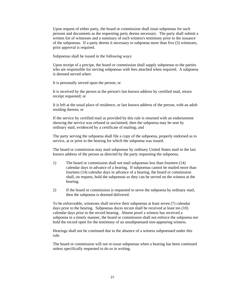Upon request of either party, the board or commission shall issue subpoenas for such persons and documents as the requesting party deems necessary. The party shall submit a written list of witnesses and a summary of each witness's testimony prior to the issuance of the subpoenas. If a party deems it necessary to subpoena more than five (5) witnesses, prior approval is required.

Subpoenas shall be issued in the following ways:

Upon receipt of a precipe, the board or commission shall supply subpoenas to the parties who are responsible for serving subpoenas with fees attached when required. A subpoena is deemed served when:

It is personally served upon the person; or

It is received by the person at the person's last known address by certified mail, return receipt requested; or

It is left at the usual place of residence, or last known address of the person, with an adult residing therein; or

If the service by certified mail as provided by this rule is returned with an endorsement showing the service was refused or unclaimed, then the subpoena may be sent by ordinary mail, evidenced by a certificate of mailing; and

The party serving the subpoena shall file a copy of the subpoena, properly endorsed as to service, at or prior to the hearing for which the subpoena was issued.

The board or commission may mail subpoenas by ordinary United States mail to the last known address of the person as directed by the party requesting the subpoena.

- 1) The board or commission shall not mail subpoenas less than fourteen (14) calendar days in advance of a hearing. If subpoenas cannot be mailed more than fourteen (14) calendar days in advance of a hearing, the board or commission shall, on request, hold the subpoenas so they can be served on the witness at the hearing.
- 2) If the board or commission is requested to serve the subpoena by ordinary mail, then the subpoena is deemed delivered.

To be enforceable, witnesses shall receive their subpoenas at least seven (7) calendar days prior to the hearing. Subpoenas duces tecum shall be received at least ten (10) calendar days prior to the record hearing. Absent proof a witness has received a subpoena in a timely manner, the board or commission shall not enforce the subpoena nor hold the record open for the testimony of an unsubpoenaed non-appearing witness.

Hearings shall not be continued due to the absence of a witness subpoenaed under this rule.

The board or commission will not re-issue subpoenas when a hearing has been continued unless specifically requested to do so in writing.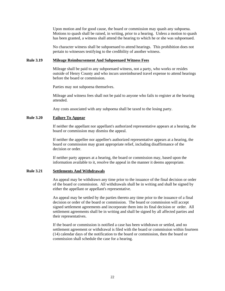<span id="page-21-0"></span>Upon motion and for good cause, the board or commission may quash any subpoena. Motions to quash shall be raised, in writing, prior to a hearing. Unless a motion to quash has been granted, a witness shall attend the hearing to which he or she was subpoenaed.

No character witness shall be subpoenaed to attend hearings. This prohibition does not pertain to witnesses testifying to the credibility of another witness.

#### **Rule 3.19 Mileage Reimbursement And Subpoenaed Witness Fees**

Mileage shall be paid to any subpoenaed witness, not a party, who works or resides outside of Henry County and who incurs unreimbursed travel expense to attend hearings before the board or commission.

Parties may not subpoena themselves.

Mileage and witness fees shall not be paid to anyone who fails to register at the hearing attended.

Any costs associated with any subpoena shall be taxed to the losing party.

## **Rule 3.20 Failure To Appear**

If neither the appellant nor appellant's authorized representative appears at a hearing, the board or commission may dismiss the appeal.

If neither the appellee nor appellee's authorized representative appears at a hearing, the board or commission may grant appropriate relief, including disaffirmance of the decision or order.

If neither party appears at a hearing, the board or commission may, based upon the information available to it, resolve the appeal in the manner it deems appropriate.

#### **Rule 3.21 Settlements And Withdrawals**

An appeal may be withdrawn any time prior to the issuance of the final decision or order of the board or commission. All withdrawals shall be in writing and shall be signed by either the appellant or appellant's representative.

An appeal may be settled by the parties thereto any time prior to the issuance of a final decision or order of the board or commission. The board or commission will accept signed settlement agreements and incorporate them into its final decision or order. All settlement agreements shall be in writing and shall be signed by all affected parties and their representatives.

If the board or commission is notified a case has been withdrawn or settled, and no settlement agreement or withdrawal is filed with the board or commission within fourteen (14) calendar days of the notification to the board or commission, then the board or commission shall schedule the case for a hearing.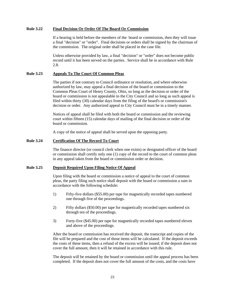## <span id="page-22-0"></span>**Rule 3.22 Final Decision Or Order Of The Board Or Commission**

If a hearing is held before the members of the board or commission, then they will issue a final "decision" or "order". Final decisions or orders shall be signed by the chairman of the commission. The original order shall be placed in the case file.

Unless otherwise provided by law, a final "decision" or "order" does not become public record until it has been served on the parties. Service shall be in accordance with Rule 2.8.

# **Rule 3.23 Appeals To The Court Of Common Pleas**

The parties if not contrary to Council ordinance or resolution, and where otherwise authorized by law, may appeal a final decision of the board or commission to the Common Pleas Court of Henry County, Ohio, so long as the decision or order of the board or commission is not appealable to the City Council and so long as such appeal is filed within thirty (30) calendar days from the filing of the board's or commission's decision or order. Any authorized appeal to City Council must be in a timely manner.

Notices of appeal shall be filed with both the board or commission and the reviewing court within fifteen (15) calendar days of mailing of the final decision or order of the board or commission.

A copy of the notice of appeal shall be served upon the opposing party.

## **Rule 3.24 Certification Of The Record To Court**

The finance director (or council clerk when one exists) or designated officer of the board or commission shall certify only one (1) copy of the record to the court of common pleas in any appeal taken from the board or commission order or decision.

# **Rule 3.25 Deposit Required Upon Filing Notice Of Appeal**

Upon filing with the board or commission a notice of appeal to the court of common pleas, the party filing such notice shall deposit with the board or commission a sum in accordance with the following schedule:

- 1) Fifty-five dollars (\$55.00) per tape for magnetically recorded tapes numbered one through five of the proceedings.
- 2) Fifty dollars (\$50.00) per tape for magnetically recorded tapes numbered six through ten of the proceedings.
- 3) Forty-five (\$45.00) per tape for magnetically recorded tapes numbered eleven and above of the proceedings.

After the board or commission has received the deposit, the transcript and copies of the file will be prepared and the cost of those items will be calculated. If the deposit exceeds the costs of these items, then a refund of the excess will be issued; if the deposit does not cover the full amount, then it will be retained in accordance with this rule.

The deposit will be retained by the board or commission until the appeal process has been completed. If the deposit does not cover the full amount of the costs, and the costs have